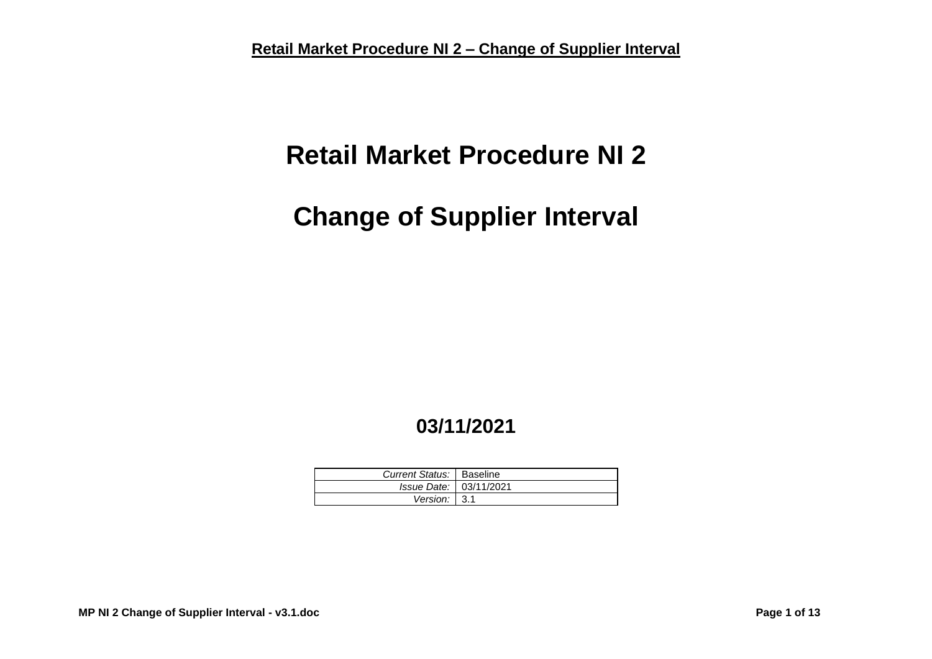# **Retail Market Procedure NI 2**

# **Change of Supplier Interval**

## **03/11/2021**

| Current Status:   Baseline |  |
|----------------------------|--|
| Issue Date: 03/11/2021     |  |
| Version: $3.1$             |  |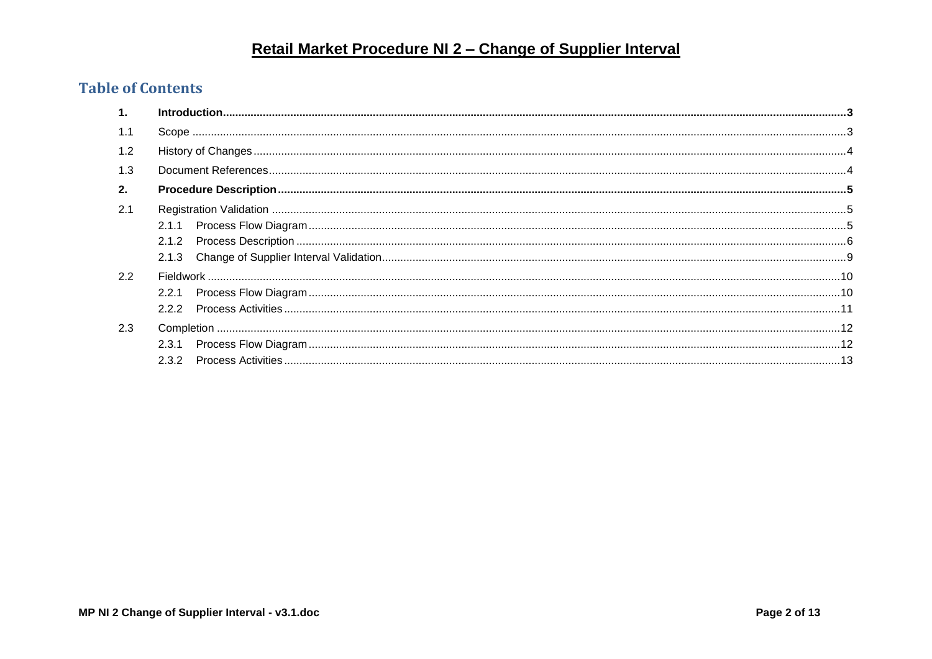#### **Table of Contents**

| 1.            |       |  |  |
|---------------|-------|--|--|
| 1.1           |       |  |  |
| $1.2^{\circ}$ |       |  |  |
| 1.3           |       |  |  |
| 2.            |       |  |  |
| 2.1           |       |  |  |
|               | 2.1.1 |  |  |
|               | 2.1.2 |  |  |
|               | 2.1.3 |  |  |
| 2.2           |       |  |  |
|               | 2.2.1 |  |  |
|               |       |  |  |
| 2.3           |       |  |  |
|               | 2.3.1 |  |  |
|               | 2.3.2 |  |  |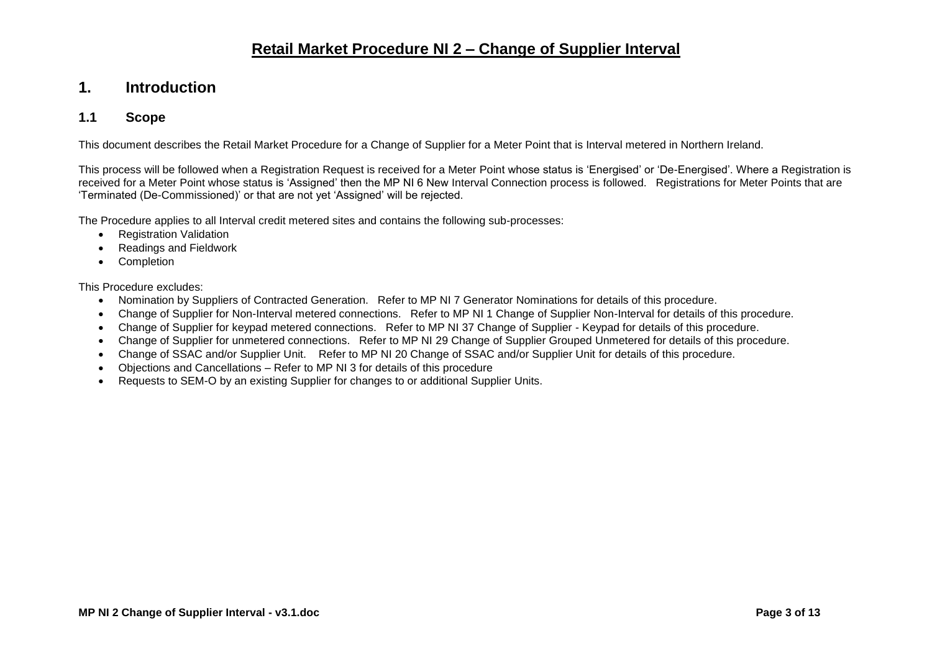#### <span id="page-2-0"></span>**1. Introduction**

#### <span id="page-2-1"></span>**1.1 Scope**

This document describes the Retail Market Procedure for a Change of Supplier for a Meter Point that is Interval metered in Northern Ireland.

This process will be followed when a Registration Request is received for a Meter Point whose status is 'Energised' or 'De-Energised'. Where a Registration is received for a Meter Point whose status is 'Assigned' then the MP NI 6 New Interval Connection process is followed. Registrations for Meter Points that are 'Terminated (De-Commissioned)' or that are not yet 'Assigned' will be rejected.

The Procedure applies to all Interval credit metered sites and contains the following sub-processes:

- Registration Validation
- Readings and Fieldwork
- Completion

This Procedure excludes:

- Nomination by Suppliers of Contracted Generation. Refer to MP NI 7 Generator Nominations for details of this procedure.
- Change of Supplier for Non-Interval metered connections. Refer to MP NI 1 Change of Supplier Non-Interval for details of this procedure.
- Change of Supplier for keypad metered connections. Refer to MP NI 37 Change of Supplier Keypad for details of this procedure.
- Change of Supplier for unmetered connections. Refer to MP NI 29 Change of Supplier Grouped Unmetered for details of this procedure.
- Change of SSAC and/or Supplier Unit. Refer to MP NI 20 Change of SSAC and/or Supplier Unit for details of this procedure.
- Objections and Cancellations Refer to MP NI 3 for details of this procedure
- Requests to SEM-O by an existing Supplier for changes to or additional Supplier Units.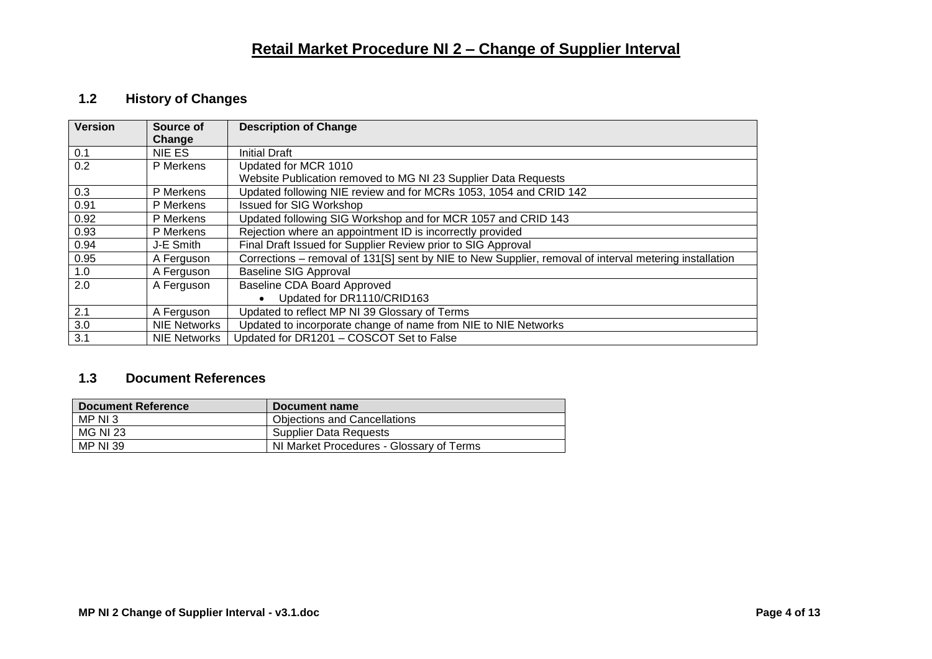#### <span id="page-3-0"></span>**1.2 History of Changes**

| <b>Version</b> | Source of<br>Change | <b>Description of Change</b>                                                                           |
|----------------|---------------------|--------------------------------------------------------------------------------------------------------|
| 0.1            | NIE ES              | <b>Initial Draft</b>                                                                                   |
| 0.2            | P Merkens           | Updated for MCR 1010                                                                                   |
|                |                     | Website Publication removed to MG NI 23 Supplier Data Requests                                         |
| 0.3            | P Merkens           | Updated following NIE review and for MCRs 1053, 1054 and CRID 142                                      |
| 0.91           | P Merkens           | <b>Issued for SIG Workshop</b>                                                                         |
| 0.92           | P Merkens           | Updated following SIG Workshop and for MCR 1057 and CRID 143                                           |
| 0.93           | P Merkens           | Rejection where an appointment ID is incorrectly provided                                              |
| 0.94           | J-E Smith           | Final Draft Issued for Supplier Review prior to SIG Approval                                           |
| 0.95           | A Ferguson          | Corrections - removal of 131[S] sent by NIE to New Supplier, removal of interval metering installation |
| 1.0            | A Ferguson          | <b>Baseline SIG Approval</b>                                                                           |
| 2.0            | A Ferguson          | <b>Baseline CDA Board Approved</b>                                                                     |
|                |                     | Updated for DR1110/CRID163<br>$\bullet$                                                                |
| 2.1            | A Ferguson          | Updated to reflect MP NI 39 Glossary of Terms                                                          |
| 3.0            | <b>NIE Networks</b> | Updated to incorporate change of name from NIE to NIE Networks                                         |
| 3.1            | <b>NIE Networks</b> | Updated for DR1201 - COSCOT Set to False                                                               |

#### <span id="page-3-1"></span>**1.3 Document References**

| <b>Document Reference</b> | Document name                            |
|---------------------------|------------------------------------------|
| MP NI 3                   | <b>Objections and Cancellations</b>      |
| <b>MG NI 23</b>           | <b>Supplier Data Requests</b>            |
| <b>MP NI 39</b>           | NI Market Procedures - Glossary of Terms |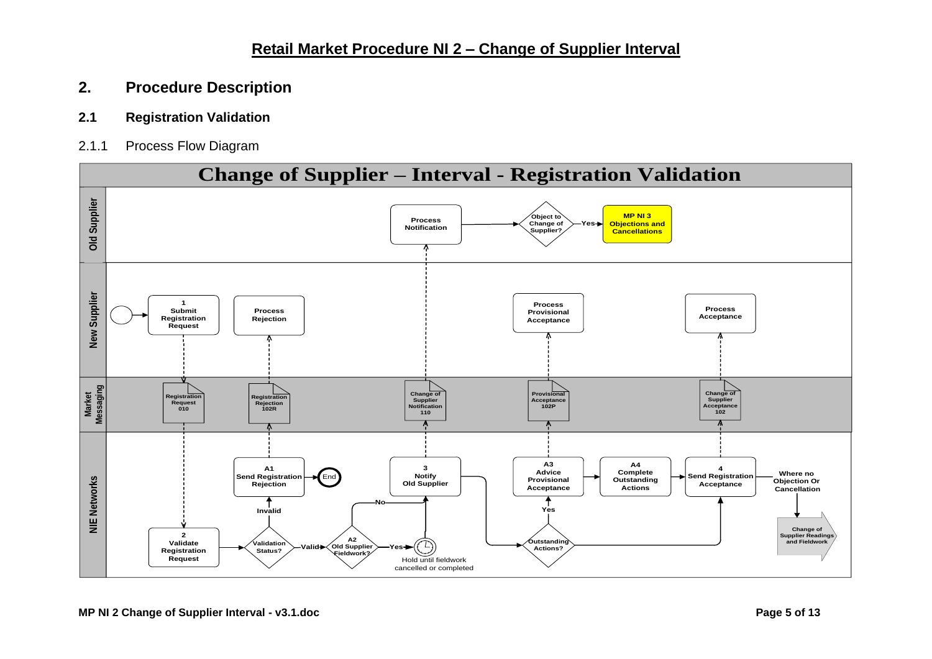#### <span id="page-4-0"></span>**2. Procedure Description**

#### <span id="page-4-1"></span>**2.1 Registration Validation**

<span id="page-4-2"></span>2.1.1 Process Flow Diagram

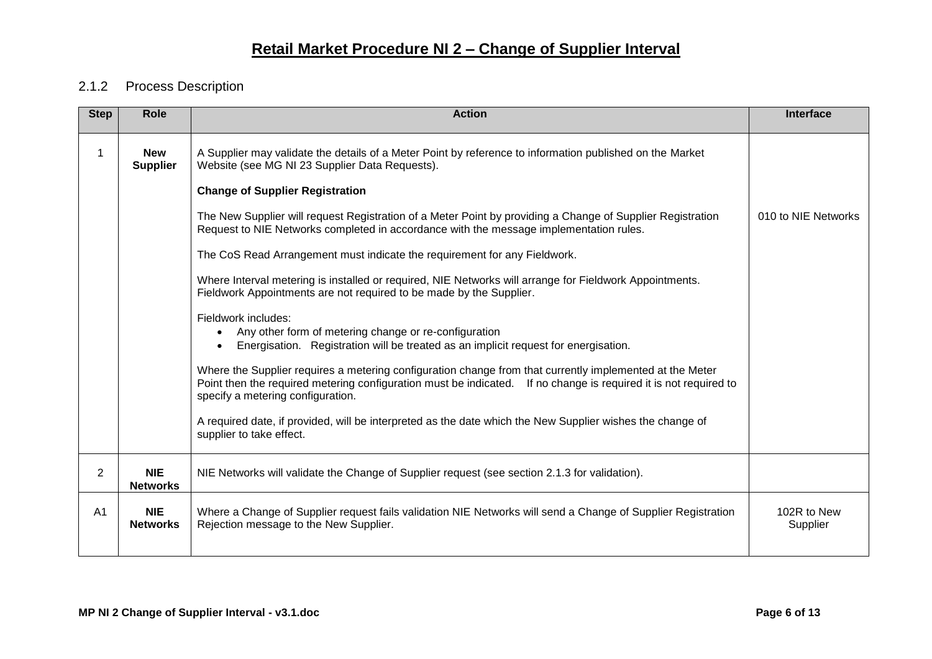#### <span id="page-5-0"></span>2.1.2 Process Description

| <b>Step</b>    | <b>Role</b>                   | <b>Action</b>                                                                                                                                                                                                                                                     | Interface               |
|----------------|-------------------------------|-------------------------------------------------------------------------------------------------------------------------------------------------------------------------------------------------------------------------------------------------------------------|-------------------------|
| 1              | <b>New</b><br><b>Supplier</b> | A Supplier may validate the details of a Meter Point by reference to information published on the Market<br>Website (see MG NI 23 Supplier Data Requests).                                                                                                        |                         |
|                |                               | <b>Change of Supplier Registration</b>                                                                                                                                                                                                                            |                         |
|                |                               | The New Supplier will request Registration of a Meter Point by providing a Change of Supplier Registration<br>Request to NIE Networks completed in accordance with the message implementation rules.                                                              | 010 to NIE Networks     |
|                |                               | The CoS Read Arrangement must indicate the requirement for any Fieldwork.                                                                                                                                                                                         |                         |
|                |                               | Where Interval metering is installed or required, NIE Networks will arrange for Fieldwork Appointments.<br>Fieldwork Appointments are not required to be made by the Supplier.                                                                                    |                         |
|                |                               | Fieldwork includes:<br>Any other form of metering change or re-configuration<br>$\bullet$<br>Energisation. Registration will be treated as an implicit request for energisation.                                                                                  |                         |
|                |                               | Where the Supplier requires a metering configuration change from that currently implemented at the Meter<br>Point then the required metering configuration must be indicated. If no change is required it is not required to<br>specify a metering configuration. |                         |
|                |                               | A required date, if provided, will be interpreted as the date which the New Supplier wishes the change of<br>supplier to take effect.                                                                                                                             |                         |
| $\overline{2}$ | <b>NIE</b><br><b>Networks</b> | NIE Networks will validate the Change of Supplier request (see section 2.1.3 for validation).                                                                                                                                                                     |                         |
| A <sub>1</sub> | <b>NIE</b><br><b>Networks</b> | Where a Change of Supplier request fails validation NIE Networks will send a Change of Supplier Registration<br>Rejection message to the New Supplier.                                                                                                            | 102R to New<br>Supplier |
|                |                               |                                                                                                                                                                                                                                                                   |                         |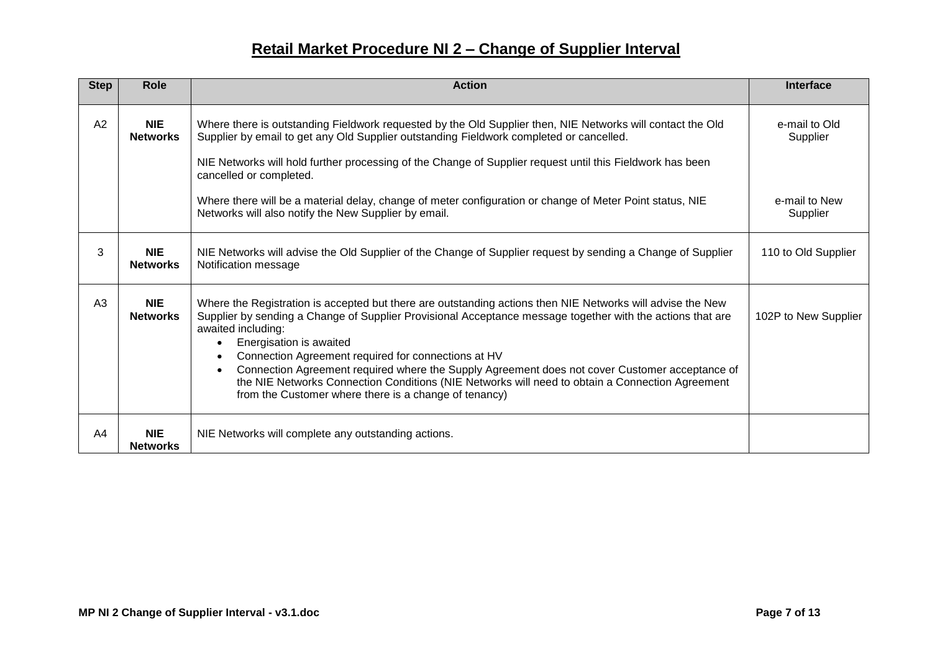| <b>Step</b>    | Role                          | <b>Action</b>                                                                                                                                                                                                                                                                                                                                                                                                                                                                                                                                                                                                                         | Interface                                              |
|----------------|-------------------------------|---------------------------------------------------------------------------------------------------------------------------------------------------------------------------------------------------------------------------------------------------------------------------------------------------------------------------------------------------------------------------------------------------------------------------------------------------------------------------------------------------------------------------------------------------------------------------------------------------------------------------------------|--------------------------------------------------------|
| A2             | <b>NIE</b><br><b>Networks</b> | Where there is outstanding Fieldwork requested by the Old Supplier then, NIE Networks will contact the Old<br>Supplier by email to get any Old Supplier outstanding Fieldwork completed or cancelled.<br>NIE Networks will hold further processing of the Change of Supplier request until this Fieldwork has been<br>cancelled or completed.<br>Where there will be a material delay, change of meter configuration or change of Meter Point status, NIE<br>Networks will also notify the New Supplier by email.                                                                                                                     | e-mail to Old<br>Supplier<br>e-mail to New<br>Supplier |
| 3              | <b>NIE</b><br><b>Networks</b> | NIE Networks will advise the Old Supplier of the Change of Supplier request by sending a Change of Supplier<br>Notification message                                                                                                                                                                                                                                                                                                                                                                                                                                                                                                   | 110 to Old Supplier                                    |
| A <sub>3</sub> | <b>NIE</b><br><b>Networks</b> | Where the Registration is accepted but there are outstanding actions then NIE Networks will advise the New<br>Supplier by sending a Change of Supplier Provisional Acceptance message together with the actions that are<br>awaited including:<br>Energisation is awaited<br>$\bullet$<br>Connection Agreement required for connections at HV<br>$\bullet$<br>Connection Agreement required where the Supply Agreement does not cover Customer acceptance of<br>$\bullet$<br>the NIE Networks Connection Conditions (NIE Networks will need to obtain a Connection Agreement<br>from the Customer where there is a change of tenancy) | 102P to New Supplier                                   |
| A4             | <b>NIE</b><br><b>Networks</b> | NIE Networks will complete any outstanding actions.                                                                                                                                                                                                                                                                                                                                                                                                                                                                                                                                                                                   |                                                        |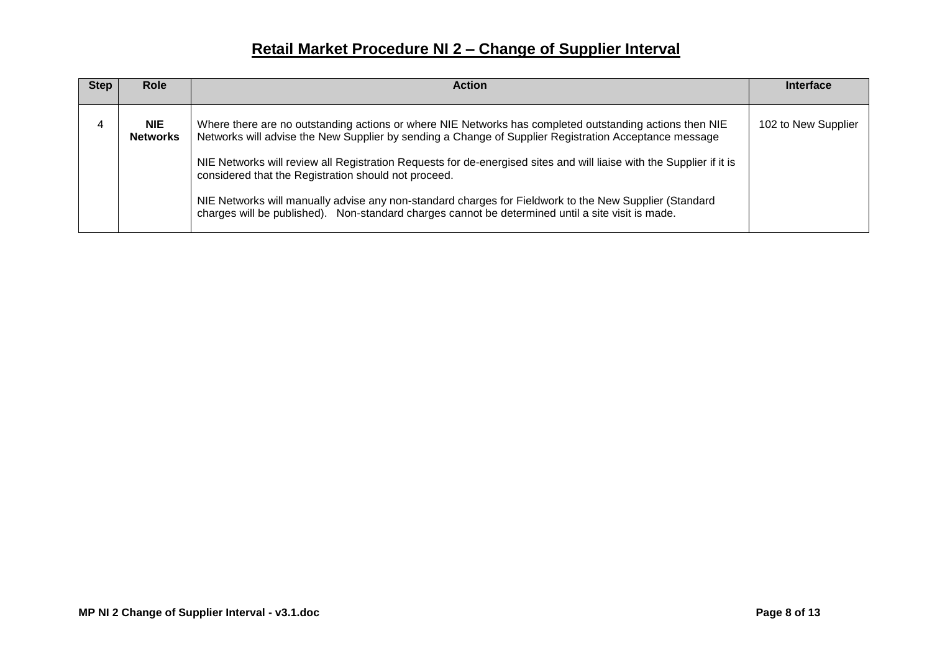| <b>Action</b><br><b>Step</b><br><b>Role</b>                                                                                                                                                                                                                                                                                                                                                                                                                                                                                                                                                                                                      | Interface           |
|--------------------------------------------------------------------------------------------------------------------------------------------------------------------------------------------------------------------------------------------------------------------------------------------------------------------------------------------------------------------------------------------------------------------------------------------------------------------------------------------------------------------------------------------------------------------------------------------------------------------------------------------------|---------------------|
| <b>NIE</b><br>Where there are no outstanding actions or where NIE Networks has completed outstanding actions then NIE<br>Networks will advise the New Supplier by sending a Change of Supplier Registration Acceptance message<br><b>Networks</b><br>NIE Networks will review all Registration Requests for de-energised sites and will liaise with the Supplier if it is<br>considered that the Registration should not proceed.<br>NIE Networks will manually advise any non-standard charges for Fieldwork to the New Supplier (Standard<br>charges will be published). Non-standard charges cannot be determined until a site visit is made. | 102 to New Supplier |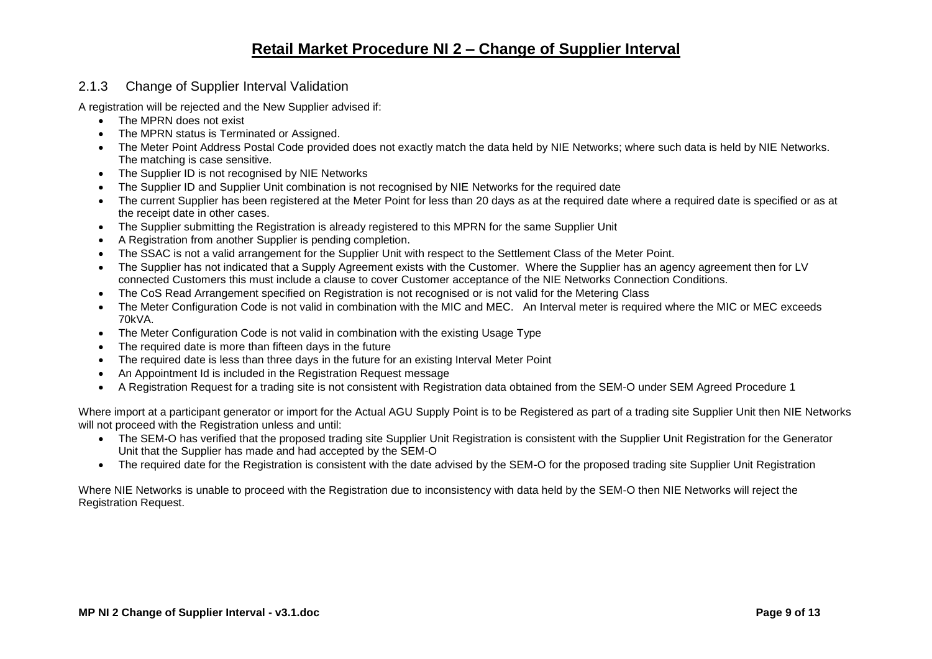#### <span id="page-8-0"></span>2.1.3 Change of Supplier Interval Validation

A registration will be rejected and the New Supplier advised if:

- The MPRN does not exist
- The MPRN status is Terminated or Assigned.
- The Meter Point Address Postal Code provided does not exactly match the data held by NIE Networks; where such data is held by NIE Networks. The matching is case sensitive.
- The Supplier ID is not recognised by NIE Networks
- The Supplier ID and Supplier Unit combination is not recognised by NIE Networks for the required date
- The current Supplier has been registered at the Meter Point for less than 20 days as at the required date where a required date is specified or as at the receipt date in other cases.
- The Supplier submitting the Registration is already registered to this MPRN for the same Supplier Unit
- A Registration from another Supplier is pending completion.
- The SSAC is not a valid arrangement for the Supplier Unit with respect to the Settlement Class of the Meter Point.
- The Supplier has not indicated that a Supply Agreement exists with the Customer. Where the Supplier has an agency agreement then for LV connected Customers this must include a clause to cover Customer acceptance of the NIE Networks Connection Conditions.
- The CoS Read Arrangement specified on Registration is not recognised or is not valid for the Metering Class
- The Meter Configuration Code is not valid in combination with the MIC and MEC. An Interval meter is required where the MIC or MEC exceeds 70kVA.
- The Meter Configuration Code is not valid in combination with the existing Usage Type
- The required date is more than fifteen days in the future
- The required date is less than three days in the future for an existing Interval Meter Point
- An Appointment Id is included in the Registration Request message
- A Registration Request for a trading site is not consistent with Registration data obtained from the SEM-O under SEM Agreed Procedure 1

Where import at a participant generator or import for the Actual AGU Supply Point is to be Registered as part of a trading site Supplier Unit then NIE Networks will not proceed with the Registration unless and until:

- The SEM-O has verified that the proposed trading site Supplier Unit Registration is consistent with the Supplier Unit Registration for the Generator Unit that the Supplier has made and had accepted by the SEM-O
- The required date for the Registration is consistent with the date advised by the SEM-O for the proposed trading site Supplier Unit Registration

Where NIE Networks is unable to proceed with the Registration due to inconsistency with data held by the SEM-O then NIE Networks will reject the Registration Request.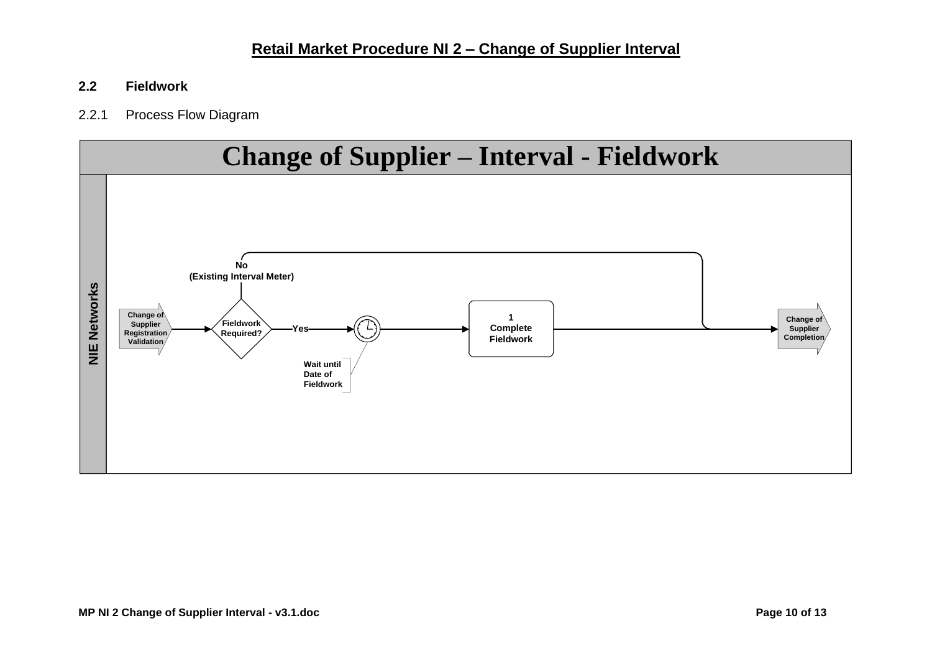#### <span id="page-9-0"></span>**2.2 Fieldwork**

#### <span id="page-9-1"></span>2.2.1 Process Flow Diagram

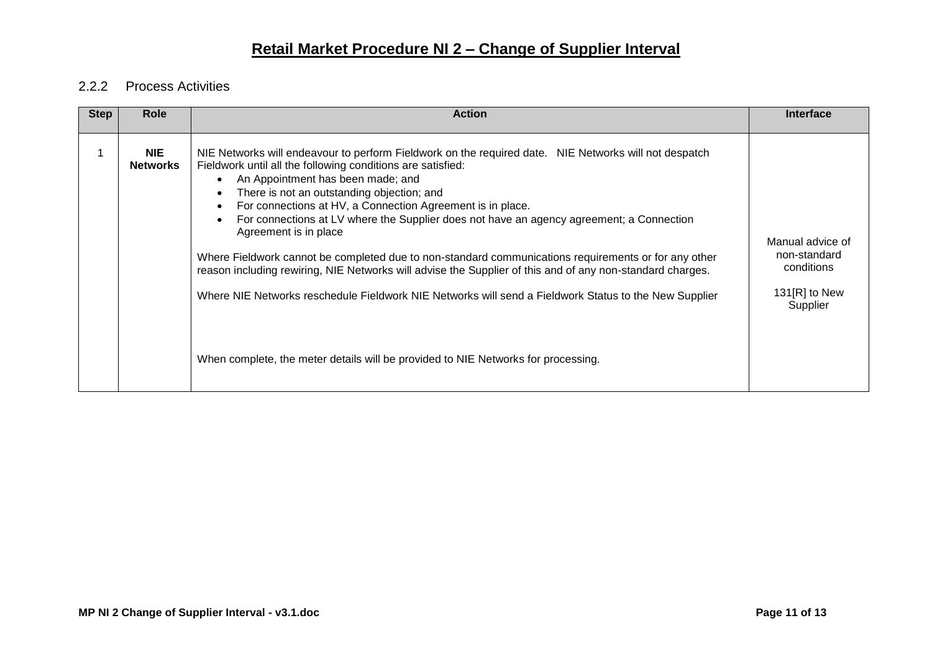#### <span id="page-10-0"></span>2.2.2 Process Activities

| <b>Step</b> | <b>Role</b>                   | <b>Action</b>                                                                                                                                                                                                                                                                                                                                                                                                                                                                                                                                                                                                                                                                                                                                                                                                                                                                                                     | <b>Interface</b>                                                               |
|-------------|-------------------------------|-------------------------------------------------------------------------------------------------------------------------------------------------------------------------------------------------------------------------------------------------------------------------------------------------------------------------------------------------------------------------------------------------------------------------------------------------------------------------------------------------------------------------------------------------------------------------------------------------------------------------------------------------------------------------------------------------------------------------------------------------------------------------------------------------------------------------------------------------------------------------------------------------------------------|--------------------------------------------------------------------------------|
|             | <b>NIE</b><br><b>Networks</b> | NIE Networks will endeavour to perform Fieldwork on the required date. NIE Networks will not despatch<br>Fieldwork until all the following conditions are satisfied:<br>An Appointment has been made; and<br>$\bullet$<br>There is not an outstanding objection; and<br>$\bullet$<br>For connections at HV, a Connection Agreement is in place.<br>$\bullet$<br>For connections at LV where the Supplier does not have an agency agreement; a Connection<br>$\bullet$<br>Agreement is in place<br>Where Fieldwork cannot be completed due to non-standard communications requirements or for any other<br>reason including rewiring, NIE Networks will advise the Supplier of this and of any non-standard charges.<br>Where NIE Networks reschedule Fieldwork NIE Networks will send a Fieldwork Status to the New Supplier<br>When complete, the meter details will be provided to NIE Networks for processing. | Manual advice of<br>non-standard<br>conditions<br>131 $[R]$ to New<br>Supplier |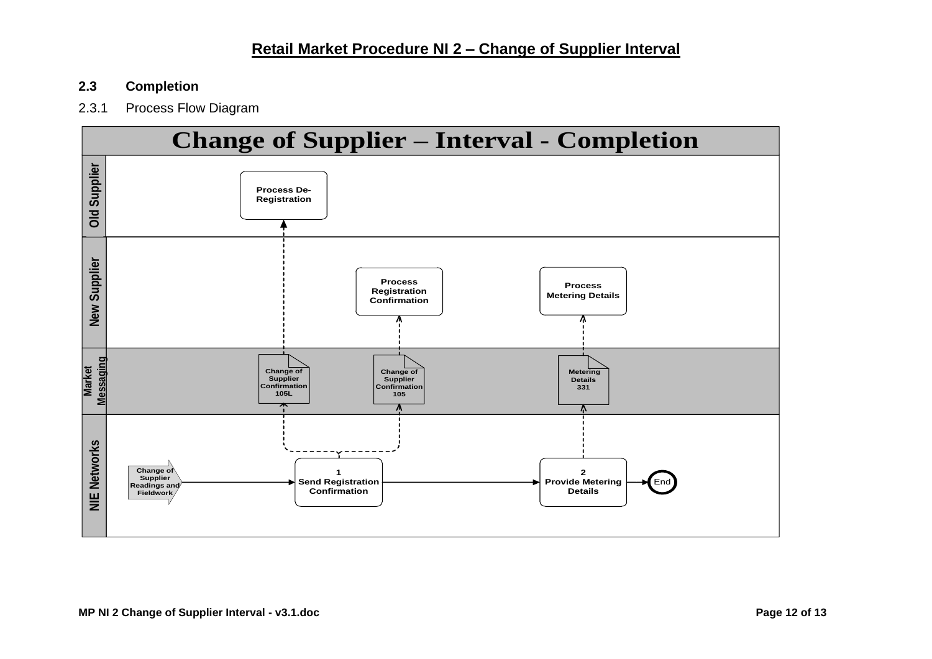#### <span id="page-11-0"></span>**2.3 Completion**

#### <span id="page-11-1"></span>2.3.1 Process Flow Diagram